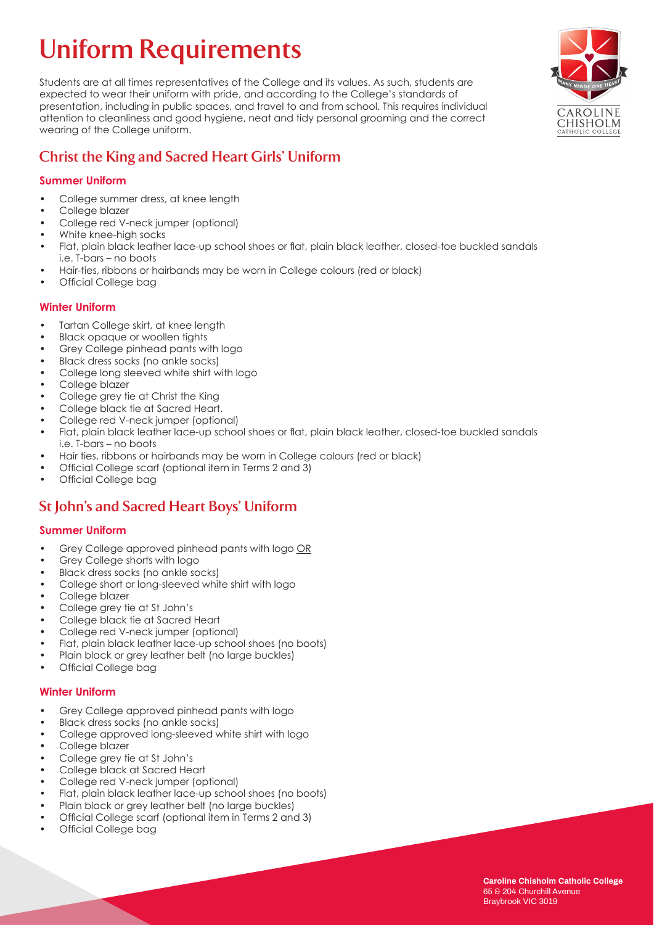# **Uniform Requirements**

Students are at all times representatives of the College and its values. As such, students are expected to wear their uniform with pride, and according to the College's standards of presentation, including in public spaces, and travel to and from school. This requires individual attention to cleanliness and good hygiene, neat and tidy personal grooming and the correct wearing of the College uniform.

# **Christ the King and Sacred Heart Girls' Uniform**

### **Summer Uniform**

- College summer dress, at knee length
- College blazer
- College red V-neck jumper (optional)
- White knee-high socks
- Flat, plain black leather lace-up school shoes or flat, plain black leather, closed-toe buckled sandals i.e. T-bars – no boots
- Hair-ties, ribbons or hairbands may be worn in College colours (red or black)
- Official College bag

#### **Winter Uniform**

- Tartan College skirt, at knee length
- Black opaque or woollen tights
- Grey College pinhead pants with logo
- Black dress socks (no ankle socks)
- College long sleeved white shirt with logo
- College blazer
- College grey tie at Christ the King
- College black tie at Sacred Heart.
- College red V-neck jumper (optional)
- Flat, plain black leather lace-up school shoes or flat, plain black leather, closed-toe buckled sandals i.e. T-bars – no boots
- Hair ties, ribbons or hairbands may be worn in College colours (red or black)
- Official College scarf (optional item in Terms 2 and 3)
- Official College bag

# **St John's and Sacred Heart Boys' Uniform**

#### **Summer Uniform**

- Grey College approved pinhead pants with logo OR
- Grey College shorts with logo
- Black dress socks (no ankle socks)
- College short or long-sleeved white shirt with logo
- College blazer
- College grey tie at St John's
- College black tie at Sacred Heart
- College red V-neck jumper (optional)
- Flat, plain black leather lace-up school shoes (no boots)
- Plain black or grey leather belt (no large buckles)
- Official College bag

#### **Winter Uniform**

- Grey College approved pinhead pants with logo
- Black dress socks (no ankle socks)
- College approved long-sleeved white shirt with logo
- College blazer
- College grey tie at St John's
- College black at Sacred Heart
- College red V-neck jumper (optional)
- Flat, plain black leather lace-up school shoes (no boots)
- Plain black or grey leather belt (no large buckles)
- Official College scarf (optional item in Terms 2 and 3)
- Official College bag

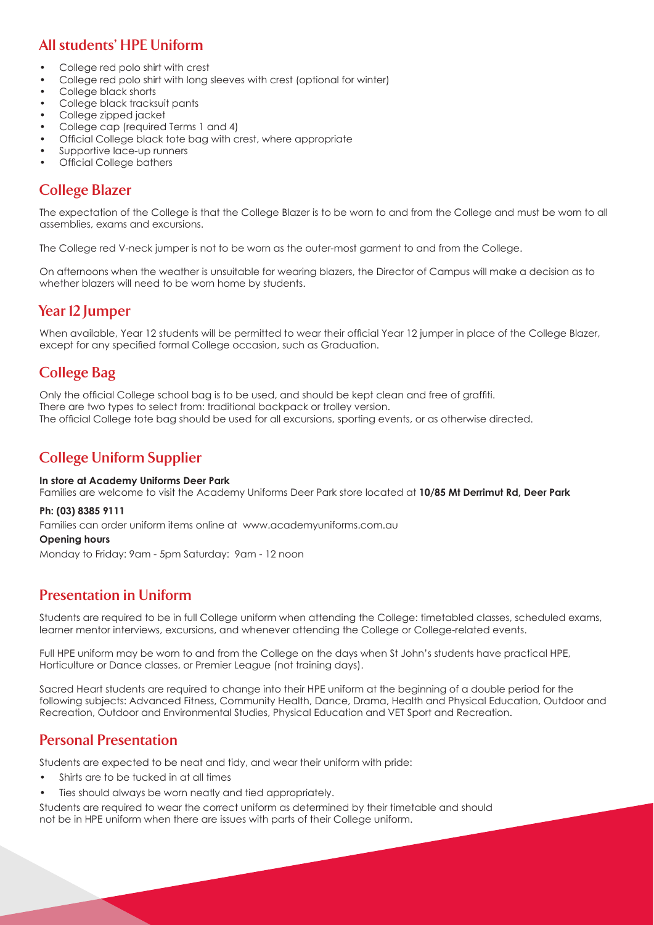# **All students' HPE Uniform**

- College red polo shirt with crest
- College red polo shirt with long sleeves with crest (optional for winter)
- College black shorts
- College black tracksuit pants
- College zipped jacket
- College cap (required Terms 1 and 4)
- Official College black tote bag with crest, where appropriate
- Supportive lace-up runners
- **Official College bathers**

## **College Blazer**

The expectation of the College is that the College Blazer is to be worn to and from the College and must be worn to all assemblies, exams and excursions.

The College red V-neck jumper is not to be worn as the outer-most garment to and from the College.

On afternoons when the weather is unsuitable for wearing blazers, the Director of Campus will make a decision as to whether blazers will need to be worn home by students.

# **Year 12 Jumper**

When available, Year 12 students will be permitted to wear their official Year 12 jumper in place of the College Blazer, except for any specified formal College occasion, such as Graduation.

# **College Bag**

Only the official College school bag is to be used, and should be kept clean and free of graffiti. There are two types to select from: traditional backpack or trolley version. The official College tote bag should be used for all excursions, sporting events, or as otherwise directed.

# **College Uniform Supplier**

#### **In store at Academy Uniforms Deer Park**

Families are welcome to visit the Academy Uniforms Deer Park store located at **10/85 Mt Derrimut Rd, Deer Park**

#### **Ph: (03) 8385 9111**

Families can order uniform items online at www.academyuniforms.com.au

#### **Opening hours**

Monday to Friday: 9am - 5pm Saturday: 9am - 12 noon

## **Presentation in Uniform**

Students are required to be in full College uniform when attending the College: timetabled classes, scheduled exams, learner mentor interviews, excursions, and whenever attending the College or College-related events.

Full HPE uniform may be worn to and from the College on the days when St John's students have practical HPE, Horticulture or Dance classes, or Premier League (not training days).

Sacred Heart students are required to change into their HPE uniform at the beginning of a double period for the following subjects: Advanced Fitness, Community Health, Dance, Drama, Health and Physical Education, Outdoor and Recreation, Outdoor and Environmental Studies, Physical Education and VET Sport and Recreation.

## **Personal Presentation**

Students are expected to be neat and tidy, and wear their uniform with pride:

- Shirts are to be tucked in at all times
- Ties should always be worn neatly and tied appropriately.

Students are required to wear the correct uniform as determined by their timetable and should not be in HPE uniform when there are issues with parts of their College uniform.